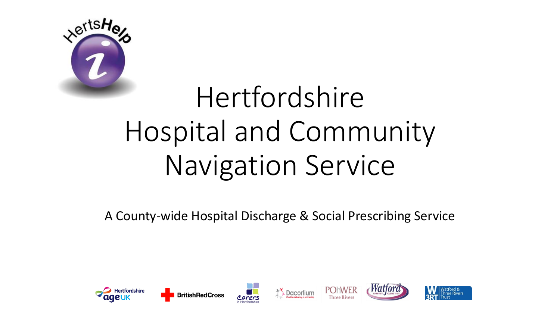

## Hertfordshire Hospital and Community Navigation Service

A County-wide Hospital Discharge & Social Prescribing Service

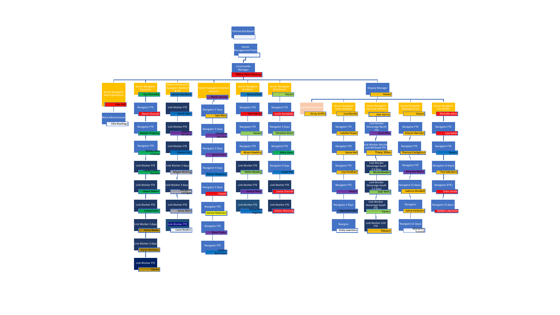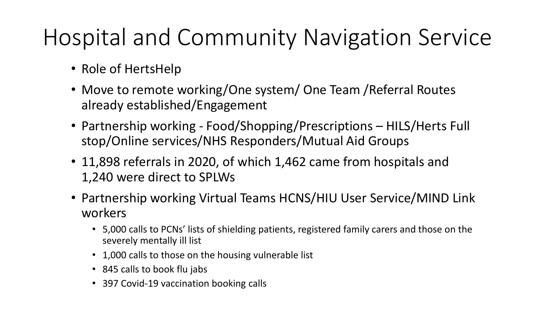## Hospital and Community Navigation Service

- Role of HertsHelp
- Move to remote working/One system/ One Team /Referral Routes already established/Engagement
- Partnership working Food/Shopping/Prescriptions HILS/Herts Full stop/Online services/NHS Responders/Mutual Aid Groups
- 11,898 referrals in 2020, of which 1,462 came from hospitals and 1,240 were direct to SPLWs
- Partnership working Virtual Teams HCNS/HIU User Service/MIND Link workers
	- 5,000 calls to PCNs' lists of shielding patients, registered family carers and those on the severely mentally ill list
	- 1,000 calls to those on the housing vulnerable list
	- 845 calls to book flu jabs
	- 397 Covid-19 vaccination booking calls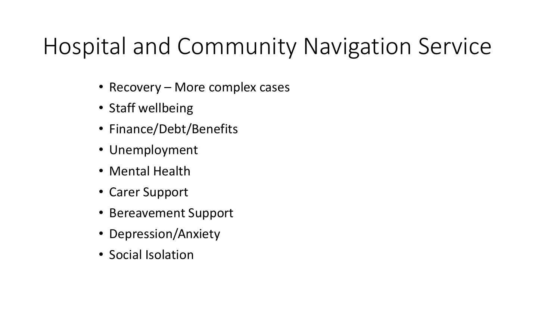## Hospital and Community Navigation Service

- Recovery More complex cases
- Staff wellbeing
- Finance/Debt/Benefits
- Unemployment
- Mental Health
- Carer Support
- Bereavement Support
- Depression/Anxiety
- Social Isolation